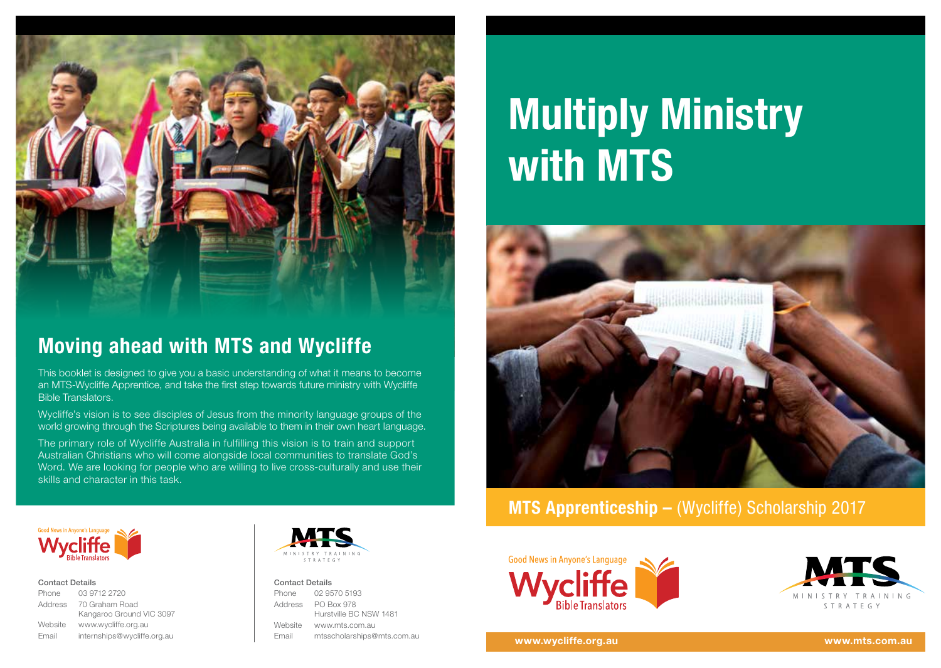

## **Moving ahead with MTS and Wycliffe**

This booklet is designed to give you a basic understanding of what it means to become an MTS-Wycliffe Apprentice, and take the first step towards future ministry with Wycliffe Bible Translators.

Wycliffe's vision is to see disciples of Jesus from the minority language groups of the world growing through the Scriptures being available to them in their own heart language.

The primary role of Wycliffe Australia in fulfilling this vision is to train and support Australian Christians who will come alongside local communities to translate God's Word. We are looking for people who are willing to live cross-culturally and use their skills and character in this task.

# **Multiply Ministry with MTS**



## **MTS Apprenticeship – (Wycliffe) Scholarship 2017**



#### Contact Details

| Phone   | 03 9712 2720                |
|---------|-----------------------------|
| Address | 70 Graham Road              |
|         | Kangaroo Ground VIC 3097    |
| Website | www.wycliffe.org.au         |
| Email   | internships@wycliffe.org.au |



#### Contact Details

Phone 02 9570 5193 Address PO Box 978 Hurstville BC NSW 1481 Website www.mts.com.au Email mtsscholarships@mts.com.au





**www.wycliffe.org.au www.mts.com.au**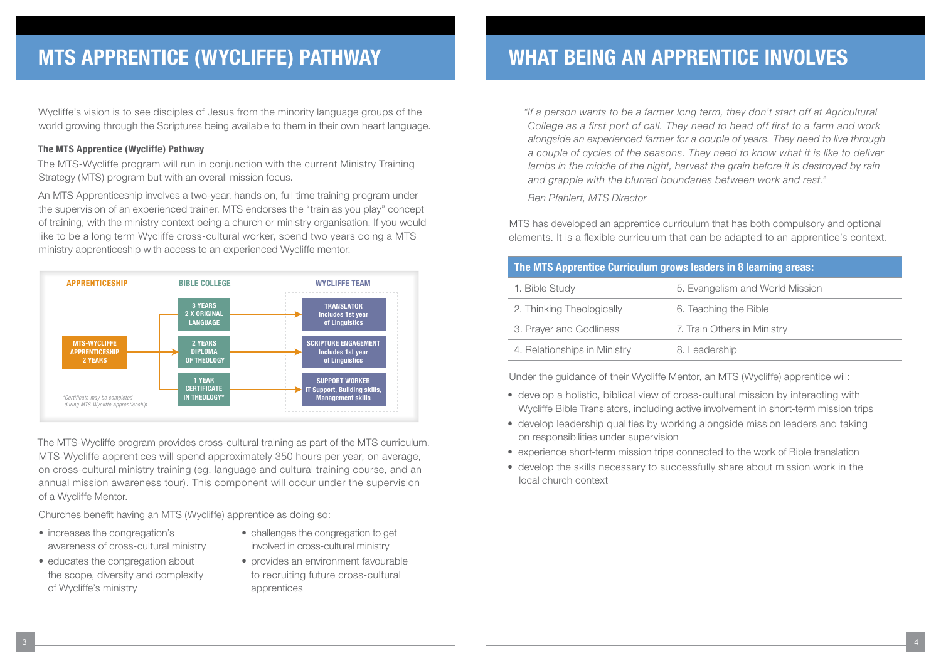## **MTS APPRENTICE (WYCLIFFE) PATHWAY**

Wycliffe's vision is to see disciples of Jesus from the minority language groups of the world growing through the Scriptures being available to them in their own heart language.

#### **The MTS Apprentice (Wycliffe) Pathway**

The MTS-Wycliffe program will run in conjunction with the current Ministry Training Strategy (MTS) program but with an overall mission focus.

An MTS Apprenticeship involves a two-year, hands on, full time training program under the supervision of an experienced trainer. MTS endorses the "train as you play" concept of training, with the ministry context being a church or ministry organisation. If you would like to be a long term Wycliffe cross-cultural worker, spend two years doing a MTS ministry apprenticeship with access to an experienced Wycliffe mentor.



The MTS-Wycliffe program provides cross-cultural training as part of the MTS curriculum. MTS-Wycliffe apprentices will spend approximately 350 hours per year, on average, on cross-cultural ministry training (eg. language and cultural training course, and an annual mission awareness tour). This component will occur under the supervision of a Wycliffe Mentor.

Churches benefit having an MTS (Wycliffe) apprentice as doing so:

- increases the congregation's awareness of cross-cultural ministry
- educates the congregation about the scope, diversity and complexity of Wycliffe's ministry
- challenges the congregation to get involved in cross-cultural ministry
- provides an environment favourable to recruiting future cross-cultural apprentices

## **WHAT BEING AN APPRENTICE INVOLVES**

*"If a person wants to be a farmer long term, they don't start off at Agricultural College as a first port of call. They need to head off first to a farm and work alongside an experienced farmer for a couple of years. They need to live through a couple of cycles of the seasons. They need to know what it is like to deliver*  lambs in the middle of the night, harvest the grain before it is destroyed by rain *and grapple with the blurred boundaries between work and rest."* 

*Ben Pfahlert, MTS Director*

MTS has developed an apprentice curriculum that has both compulsory and optional elements. It is a flexible curriculum that can be adapted to an apprentice's context.

| The MTS Apprentice Curriculum grows leaders in 8 learning areas: |                                 |  |
|------------------------------------------------------------------|---------------------------------|--|
| 1. Bible Study                                                   | 5. Evangelism and World Mission |  |
| 2. Thinking Theologically                                        | 6. Teaching the Bible           |  |
| 3. Prayer and Godliness                                          | 7. Train Others in Ministry     |  |
| 4. Relationships in Ministry                                     | 8. Leadership                   |  |

Under the guidance of their Wycliffe Mentor, an MTS (Wycliffe) apprentice will:

- develop a holistic, biblical view of cross-cultural mission by interacting with Wycliffe Bible Translators, including active involvement in short-term mission trips
- develop leadership qualities by working alongside mission leaders and taking on responsibilities under supervision
- experience short-term mission trips connected to the work of Bible translation
- develop the skills necessary to successfully share about mission work in the local church context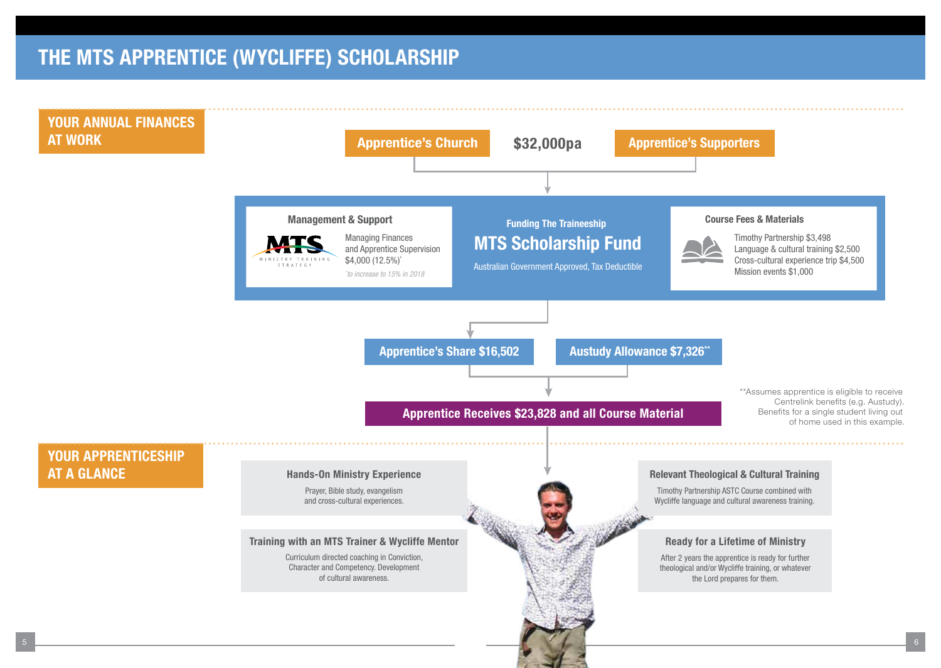## **THE MTS APPRENTICE (WYCLIFFE) SCHOLARSHIP**